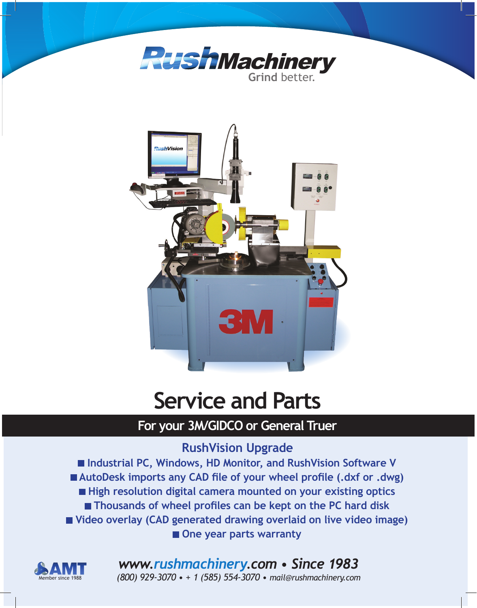



# **Service and Parts**

# **For your 3M/GIDCO or General Truer**

# **RushVision Upgrade**

**Industrial PC, Windows, HD Monitor, and RushVision Software V AutoDesk imports any CAD file of your wheel profile (.dxf or .dwg) High resolution digital camera mounted on your existing optics Thousands of wheel profiles can be kept on the PC hard disk Video overlay (CAD generated drawing overlaid on live video image)**  $\blacksquare$  One year parts warranty



# *www.rushmachinery.com • Since 1983*

Member since 1988 *(800) 929-3070 • + 1 (585) 554-3070 • mail@rushmachinery.com*